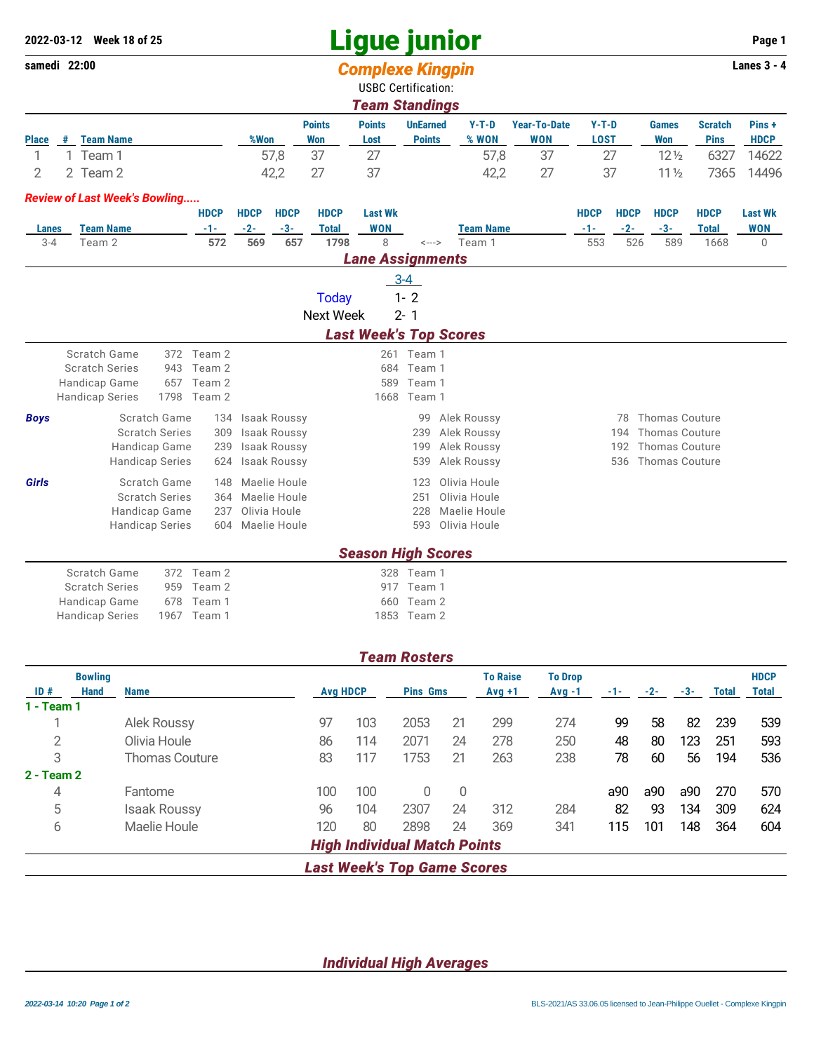## **Ligue junior 2022-03-12 Week 18 of 25 Page 1**

| samedi 22:00 |                                         |                                      |                        |             | <b>Complexe Kingpin</b>                          |                     |                  |                            |                   |                               |                     |                |             |             | Lanes $3 - 4$         |                |                |
|--------------|-----------------------------------------|--------------------------------------|------------------------|-------------|--------------------------------------------------|---------------------|------------------|----------------------------|-------------------|-------------------------------|---------------------|----------------|-------------|-------------|-----------------------|----------------|----------------|
|              |                                         |                                      |                        |             |                                                  |                     |                  | <b>USBC Certification:</b> |                   |                               |                     |                |             |             |                       |                |                |
|              |                                         |                                      |                        |             |                                                  |                     |                  | <b>Team Standings</b>      |                   |                               |                     |                |             |             |                       |                |                |
|              |                                         |                                      |                        |             |                                                  |                     | <b>Points</b>    | <b>Points</b>              | <b>UnEarned</b>   | $Y-T-D$                       | <b>Year-To-Date</b> |                | $Y-T-D$     |             | <b>Games</b>          | <b>Scratch</b> | Pins+          |
| <b>Place</b> | #                                       | <b>Team Name</b>                     |                        |             | %Won                                             |                     | <b>Won</b>       | Lost                       | <b>Points</b>     | % WON                         | <b>WON</b>          |                | <b>LOST</b> |             | <b>Won</b>            | <b>Pins</b>    | <b>HDCP</b>    |
| 1            |                                         | 1 Team 1                             |                        |             |                                                  | 57,8                | 37               | 27                         |                   | 57,8                          |                     | 37             |             | 27          | $12\frac{1}{2}$       | 6327           | 14622          |
| 2            | 2 Team 2                                |                                      |                        |             | 42,2                                             |                     | 27               | 37                         |                   | 42,2                          |                     | 27             |             | 37          | 11 <sub>2</sub>       | 7365           | 14496          |
|              |                                         | <b>Review of Last Week's Bowling</b> |                        |             |                                                  |                     |                  |                            |                   |                               |                     |                |             |             |                       |                |                |
|              |                                         |                                      |                        | <b>HDCP</b> | <b>HDCP</b>                                      | <b>HDCP</b>         | <b>HDCP</b>      | <b>Last Wk</b>             |                   |                               |                     |                | <b>HDCP</b> | <b>HDCP</b> | <b>HDCP</b>           | <b>HDCP</b>    | <b>Last Wk</b> |
| <b>Lanes</b> |                                         | <b>Team Name</b>                     |                        | $-1-$       | $-2-$                                            | $-3-$               | <b>Total</b>     | <b>WON</b>                 |                   | <b>Team Name</b>              |                     |                | $-1-$       | $-2-$       | $-3-$                 | <b>Total</b>   | <b>WON</b>     |
| $3 - 4$      |                                         | Team 2                               |                        | 572         | 569                                              | 657                 | 1798             | 8                          | $\leftarrow$ ---> | Team 1                        |                     |                | 553         | 526         | 589                   | 1668           | $\mathbf 0$    |
|              |                                         |                                      |                        |             |                                                  |                     |                  | <b>Lane Assignments</b>    |                   |                               |                     |                |             |             |                       |                |                |
|              |                                         |                                      |                        |             |                                                  |                     |                  |                            | $3 - 4$           |                               |                     |                |             |             |                       |                |                |
|              |                                         |                                      |                        |             |                                                  |                     | <b>Today</b>     |                            | $1 - 2$           |                               |                     |                |             |             |                       |                |                |
|              |                                         |                                      |                        |             |                                                  |                     | <b>Next Week</b> |                            | $2 - 1$           |                               |                     |                |             |             |                       |                |                |
|              |                                         |                                      |                        |             |                                                  |                     |                  |                            |                   | <b>Last Week's Top Scores</b> |                     |                |             |             |                       |                |                |
|              |                                         | Scratch Game                         |                        | 372 Team 2  |                                                  |                     |                  |                            | 261 Team 1        |                               |                     |                |             |             |                       |                |                |
|              |                                         | <b>Scratch Series</b>                | 943                    | Team 2      |                                                  |                     |                  | 684                        | Team 1            |                               |                     |                |             |             |                       |                |                |
|              |                                         | Handicap Game                        | 657                    | Team 2      |                                                  |                     |                  | 589                        | Team 1            |                               |                     |                |             |             |                       |                |                |
|              |                                         | <b>Handicap Series</b>               | 1798                   | Team 2      |                                                  |                     |                  | 1668                       | Team 1            |                               |                     |                |             |             |                       |                |                |
| <b>Boys</b>  |                                         |                                      | Scratch Game           | 134         |                                                  | <b>Isaak Roussy</b> |                  |                            | 99                | Alek Roussy                   |                     |                |             | 78          | <b>Thomas Couture</b> |                |                |
|              | <b>Scratch Series</b>                   |                                      |                        | 309         | <b>Isaak Roussy</b><br>Alek Roussy<br>239<br>194 |                     |                  |                            |                   |                               |                     | Thomas Couture |             |             |                       |                |                |
|              | Handicap Game<br><b>Handicap Series</b> |                                      |                        | 239         |                                                  | <b>Isaak Roussy</b> |                  |                            | 199               | Alek Roussy                   |                     |                |             | 192         | <b>Thomas Couture</b> |                |                |
|              |                                         |                                      |                        | 624         |                                                  | <b>Isaak Roussy</b> |                  |                            | 539               | Alek Roussy                   |                     |                |             | 536         | <b>Thomas Couture</b> |                |                |
| Girls        |                                         |                                      | Scratch Game           | 148         |                                                  | Maelie Houle        |                  |                            | 123               | Olivia Houle                  |                     |                |             |             |                       |                |                |
|              |                                         |                                      | <b>Scratch Series</b>  | 364         |                                                  | Maelie Houle        |                  |                            | 251               | Olivia Houle                  |                     |                |             |             |                       |                |                |
|              |                                         |                                      | Handicap Game          | 237         |                                                  | Olivia Houle        |                  |                            | 228               | Maelie Houle                  |                     |                |             |             |                       |                |                |
|              |                                         |                                      | <b>Handicap Series</b> | 604         |                                                  | Maelie Houle        |                  |                            | 593               | Olivia Houle                  |                     |                |             |             |                       |                |                |
|              |                                         |                                      |                        |             |                                                  |                     |                  | <b>Season High Scores</b>  |                   |                               |                     |                |             |             |                       |                |                |
|              |                                         | Scratch Game                         |                        | 372 Team 2  |                                                  |                     |                  |                            | 328 Team 1        |                               |                     |                |             |             |                       |                |                |
|              |                                         | <b>Scratch Series</b>                | 959                    | Team 2      |                                                  |                     |                  |                            | 917 Team 1        |                               |                     |                |             |             |                       |                |                |
|              |                                         | Handicap Game                        | 678                    | Team 1      |                                                  |                     |                  | 660                        | Team 2            |                               |                     |                |             |             |                       |                |                |
|              |                                         | <b>Handicap Series</b>               | 1967                   | Team 1      |                                                  |                     |                  | 1853                       | Team 2            |                               |                     |                |             |             |                       |                |                |

|                |                |                       |                 |                 | <b>Team Rosters</b>                 |                 |                            |       |       |       |              |                             |     |
|----------------|----------------|-----------------------|-----------------|-----------------|-------------------------------------|-----------------|----------------------------|-------|-------|-------|--------------|-----------------------------|-----|
|                | <b>Bowling</b> |                       |                 | <b>Pins Gms</b> |                                     | <b>To Raise</b> | <b>To Drop</b><br>$Avg -1$ | $-1-$ | $-2-$ | $-3-$ | <b>Total</b> | <b>HDCP</b><br><b>Total</b> |     |
| ID#            | <b>Hand</b>    | <b>Name</b>           | <b>Avg HDCP</b> |                 |                                     | $Avg +1$        |                            |       |       |       |              |                             |     |
| $1 - Team 1$   |                |                       |                 |                 |                                     |                 |                            |       |       |       |              |                             |     |
|                |                | <b>Alek Roussy</b>    | 97              | 103             | 2053                                | 21              | 299                        | 274   | 99    | 58    | 82           | 239                         | 539 |
| $\overline{2}$ |                | Olivia Houle          | 86              | 114             | 2071                                | 24              | 278                        | 250   | 48    | 80    | 123          | 251                         | 593 |
| 3              |                | <b>Thomas Couture</b> | 83              | 117             | 1753                                | 21              | 263                        | 238   | 78    | 60    | 56           | 194                         | 536 |
| $2 - Team 2$   |                |                       |                 |                 |                                     |                 |                            |       |       |       |              |                             |     |
| 4              |                | Fantome               | 100             | 100             | 0                                   | 0               |                            |       | a90   | a90   | a90          | 270                         | 570 |
| 5              |                | <b>Isaak Roussy</b>   | 96              | 104             | 2307                                | 24              | 312                        | 284   | 82    | 93    | 134          | 309                         | 624 |
| 6              |                | Maelie Houle          | 120             | 80              | 2898                                | 24              | 369                        | 341   | 115   | 101   | 148          | 364                         | 604 |
|                |                |                       |                 |                 | <b>High Individual Match Points</b> |                 |                            |       |       |       |              |                             |     |
|                |                |                       |                 |                 | <b>Last Week's Top Game Scores</b>  |                 |                            |       |       |       |              |                             |     |

*Individual High Averages*